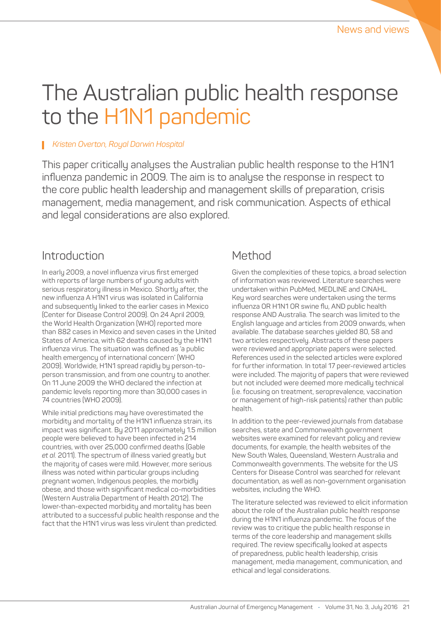# The Australian public health response to the H1N1 pandemic

#### *Kristen Overton, Royal Darwin Hospital*

This paper critically analyses the Australian public health response to the H1N1 influenza pandemic in 2009. The aim is to analyse the response in respect to the core public health leadership and management skills of preparation, crisis management, media management, and risk communication. Aspects of ethical and legal considerations are also explored.

### Introduction

In early 2009, a novel influenza virus first emerged with reports of large numbers of young adults with serious respiratory illness in Mexico. Shortly after, the new influenza A H1N1 virus was isolated in California and subsequently linked to the earlier cases in Mexico (Center for Disease Control 2009). On 24 April 2009, the World Health Organization (WHO) reported more than 882 cases in Mexico and seven cases in the United States of America, with 62 deaths caused by the H1N1 influenza virus. The situation was defined as 'a public health emergency of international concern' (WHO 2009). Worldwide, H1N1 spread rapidly by person-toperson transmission, and from one country to another. On 11 June 2009 the WHO declared the infection at pandemic levels reporting more than 30,000 cases in 74 countries (WHO 2009).

While initial predictions may have overestimated the morbidity and mortality of the H1N1 influenza strain, its impact was significant. By 2011 approximately 1.5 million people were believed to have been infected in 214 countries, with over 25,000 confirmed deaths (Gable *et al.* 2011). The spectrum of illness varied greatly but the majority of cases were mild. However, more serious illness was noted within particular groups including pregnant women, Indigenous peoples, the morbidly obese, and those with significant medical co-morbidities (Western Australia Department of Health 2012). The lower-than-expected morbidity and mortality has been attributed to a successful public health response and the fact that the H1N1 virus was less virulent than predicted.

## Method

Given the complexities of these topics, a broad selection of information was reviewed. Literature searches were undertaken within PubMed, MEDLINE and CINAHL. Key word searches were undertaken using the terms influenza OR H1N1 OR swine flu, AND public health response AND Australia. The search was limited to the English language and articles from 2009 onwards, when available. The database searches yielded 80, 58 and two articles respectively. Abstracts of these papers were reviewed and appropriate papers were selected. References used in the selected articles were explored for further information. In total 17 peer-reviewed articles were included. The majority of papers that were reviewed but not included were deemed more medically technical (i.e. focusing on treatment, seroprevalence, vaccination or management of high-risk patients) rather than public health.

In addition to the peer-reviewed journals from database searches, state and Commonwealth government websites were examined for relevant policy and review documents, for example, the health websites of the New South Wales, Queensland, Western Australia and Commonwealth governments. The website for the US Centers for Disease Control was searched for relevant documentation, as well as non-government organisation websites, including the WHO.

The literature selected was reviewed to elicit information about the role of the Australian public health response during the H1N1 influenza pandemic. The focus of the review was to critique the public health response in terms of the core leadership and management skills required. The review specifically looked at aspects of preparedness, public health leadership, crisis management, media management, communication, and ethical and legal considerations.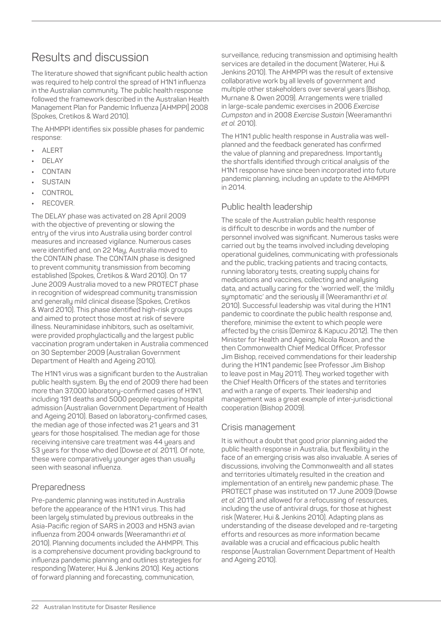## Results and discussion

The literature showed that significant public health action was required to help control the spread of H1N1 influenza in the Australian community. The public health response followed the framework described in the Australian Health Management Plan for Pandemic Influenza [AHMPPI] 2008 (Spokes, Cretikos & Ward 2010).

The AHMPPI identifies six possible phases for pandemic response:

- **•** ALERT
- **•** DELAY
- **•** CONTAIN
- **•** SUSTAIN
- **•** CONTROL
- **•** RECOVER.

The DELAY phase was activated on 28 April 2009 with the objective of preventing or slowing the entry of the virus into Australia using border control measures and increased vigilance. Numerous cases were identified and, on 22 May, Australia moved to the CONTAIN phase. The CONTAIN phase is designed to prevent community transmission from becoming established (Spokes, Cretikos & Ward 2010). On 17 June 2009 Australia moved to a new PROTECT phase in recognition of widespread community transmission and generally mild clinical disease (Spokes, Cretikos & Ward 2010). This phase identified high-risk groups and aimed to protect those most at risk of severe illness. Neuraminidase inhibitors, such as oseltamivir, were provided prophylactically and the largest public vaccination program undertaken in Australia commenced on 30 September 2009 (Australian Government Department of Health and Ageing 2010).

The H1N1 virus was a significant burden to the Australian public health system. By the end of 2009 there had been more than 37,000 laboratory-confirmed cases of H1N1, including 191 deaths and 5000 people requiring hospital admission (Australian Government Department of Health and Ageing 2010). Based on laboratory-confirmed cases, the median age of those infected was 21 years and 31 years for those hospitalised. The median age for those receiving intensive care treatment was 44 years and 53 years for those who died (Dowse *et al.* 2011). Of note, these were comparatively younger ages than usually seen with seasonal influenza.

#### Preparedness

Pre-pandemic planning was instituted in Australia before the appearance of the H1N1 virus. This had been largely stimulated by previous outbreaks in the Asia-Pacific region of SARS in 2003 and H5N3 avian influenza from 2004 onwards (Weeramanthri *et al.* 2010). Planning documents included the AHMPPI. This is a comprehensive document providing background to influenza pandemic planning and outlines strategies for responding (Waterer, Hui & Jenkins 2010). Key actions of forward planning and forecasting, communication,

surveillance, reducing transmission and optimising health services are detailed in the document (Waterer, Hui & Jenkins 2010). The AHMPPI was the result of extensive collaborative work by all levels of government and multiple other stakeholders over several years (Bishop, Murnane & Owen 2009). Arrangements were trialled in large-scale pandemic exercises in 2006 *Exercise Cumpston* and in 2008 *Exercise Sustain* (Weeramanthri *et al.* 2010).

The H1N1 public health response in Australia was wellplanned and the feedback generated has confirmed the value of planning and preparedness. Importantly the shortfalls identified through critical analysis of the H1N1 response have since been incorporated into future pandemic planning, including an update to the AHMPPI in 2014.

#### Public health leadership

The scale of the Australian public health response is difficult to describe in words and the number of personnel involved was significant. Numerous tasks were carried out by the teams involved including developing operational guidelines, communicating with professionals and the public, tracking patients and tracing contacts, running laboratory tests, creating supply chains for medications and vaccines, collecting and analysing data, and actually caring for the 'worried well', the 'mildly symptomatic' and the seriously ill (Weeramanthri *et al.* 2010). Successful leadership was vital during the H1N1 pandemic to coordinate the public health response and, therefore, minimise the extent to which people were affected by the crisis (Demiroz & Kapucu 2012). The then Minister for Health and Ageing, Nicola Roxon, and the then Commonwealth Chief Medical Officer, Professor Jim Bishop, received commendations for their leadership during the H1N1 pandemic (see Professor Jim Bishop to leave post in May 2011). They worked together with the Chief Health Officers of the states and territories and with a range of experts. Their leadership and management was a great example of inter-jurisdictional cooperation (Bishop 2009).

#### Crisis management

It is without a doubt that good prior planning aided the public health response in Australia, but flexibility in the face of an emerging crisis was also invaluable. A series of discussions, involving the Commonwealth and all states and territories ultimately resulted in the creation and implementation of an entirely new pandemic phase. The PROTECT phase was instituted on 17 June 2009 (Dowse *et al.* 2011) and allowed for a refocussing of resources, including the use of antiviral drugs, for those at highest risk (Waterer, Hui & Jenkins 2010). Adapting plans as understanding of the disease developed and re-targeting efforts and resources as more information became available was a crucial and efficacious public health response (Australian Government Department of Health and Ageing 2010).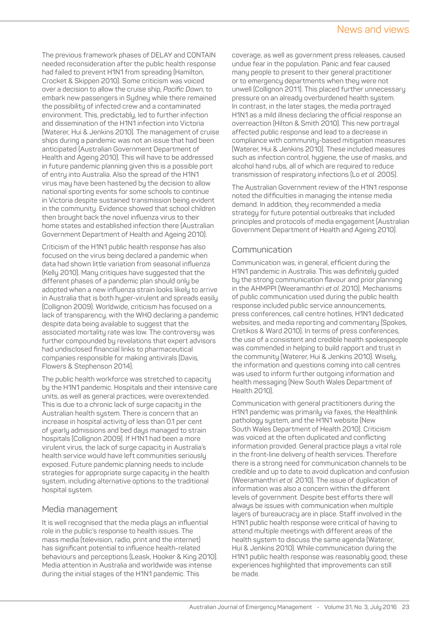#### News and views

The previous framework phases of DELAY and CONTAIN needed reconsideration after the public health response had failed to prevent H1N1 from spreading (Hamilton, Crocket & Skippen 2010). Some criticism was voiced over a decision to allow the cruise ship, *Pacific Dawn*, to embark new passengers in Sydney while there remained the possibility of infected crew and a contaminated environment. This, predictably, led to further infection and dissemination of the H1N1 infection into Victoria (Waterer, Hui & Jenkins 2010). The management of cruise ships during a pandemic was not an issue that had been anticipated (Australian Government Department of Health and Ageing 2010). This will have to be addressed in future pandemic planning given this is a possible port of entry into Australia. Also the spread of the H1N1 virus may have been hastened by the decision to allow national sporting events for some schools to continue in Victoria despite sustained transmission being evident in the community. Evidence showed that school children then brought back the novel influenza virus to their home states and established infection there (Australian Government Department of Health and Ageing 2010).

Criticism of the H1N1 public health response has also focused on the virus being declared a pandemic when data had shown little variation from seasonal influenza (Kelly 2010). Many critiques have suggested that the different phases of a pandemic plan should only be adopted when a new influenza strain looks likely to arrive in Australia that is both hyper-virulent and spreads easily (Collignon 2009). Worldwide, criticism has focused on a lack of transparency, with the WHO declaring a pandemic despite data being available to suggest that the associated mortality rate was low. The controversy was further compounded by revelations that expert advisors had undisclosed financial links to pharmaceutical companies responsible for making antivirals (Davis, Flowers & Stephenson 2014).

The public health workforce was stretched to capacity by the H1N1 pandemic. Hospitals and their intensive care units, as well as general practices, were overextended. This is due to a chronic lack of surge capacity in the Australian health system. There is concern that an increase in hospital activity of less than 0.1 per cent of yearly admissions and bed days managed to strain hospitals (Collignon 2009). If H1N1 had been a more virulent virus, the lack of surge capacity in Australia's health service would have left communities seriously exposed. Future pandemic planning needs to include strategies for appropriate surge capacity in the health system, including alternative options to the traditional hospital system.

#### Media management

It is well recognised that the media plays an influential role in the public's response to health issues. The mass media (television, radio, print and the internet) has significant potential to influence health-related behaviours and perceptions (Leask, Hooker & King 2010). Media attention in Australia and worldwide was intense during the initial stages of the H1N1 pandemic. This

coverage, as well as government press releases, caused undue fear in the population. Panic and fear caused many people to present to their general practitioner or to emergency departments when they were not unwell (Collignon 2011). This placed further unnecessary pressure on an already overburdened health system. In contrast, in the later stages, the media portrayed H1N1 as a mild illness declaring the official response an overreaction (Hilton & Smith 2010). This new portrayal affected public response and lead to a decrease in compliance with community-based mitigation measures (Waterer, Hui & Jenkins 2010). These included measures such as infection control, hygiene, the use of masks, and alcohol hand rubs, all of which are required to reduce transmission of respiratory infections (Lo *et al.* 2005).

The Australian Government review of the H1N1 response noted the difficulties in managing the intense media demand. In addition, they recommended a media strategy for future potential outbreaks that included principles and protocols of media engagement (Australian Government Department of Health and Ageing 2010).

#### Communication

Communication was, in general, efficient during the H1N1 pandemic in Australia. This was definitely guided by the strong communication flavour and prior planning in the AHMPPI (Weeramanthri *et al.* 2010). Mechanisms of public communication used during the public health response included public service announcements, press conferences, call centre hotlines, H1N1 dedicated websites, and media reporting and commentary (Spokes, Cretikos & Ward 2010). In terms of press conferences, the use of a consistent and credible health spokespeople was commended in helping to build rapport and trust in the community (Waterer, Hui & Jenkins 2010). Wisely, the information and questions coming into call centres was used to inform further outgoing information and health messaging (New South Wales Department of Health 2010).

Communication with general practitioners during the H1N1 pandemic was primarily via faxes, the Healthlink pathology system, and the H1N1 website (New South Wales Department of Health 2010). Criticism was voiced at the often duplicated and conflicting information provided. General practice plays a vital role in the front-line delivery of health services. Therefore there is a strong need for communication channels to be credible and up to date to avoid duplication and confusion (Weeramanthri *et al.* 2010). The issue of duplication of information was also a concern within the different levels of government. Despite best efforts there will always be issues with communication when multiple layers of bureaucracy are in place. Staff involved in the H1N1 public health response were critical of having to attend multiple meetings with different areas of the health system to discuss the same agenda (Waterer, Hui & Jenkins 2010). While communication during the H1N1 public health response was reasonably good, these experiences highlighted that improvements can still be made.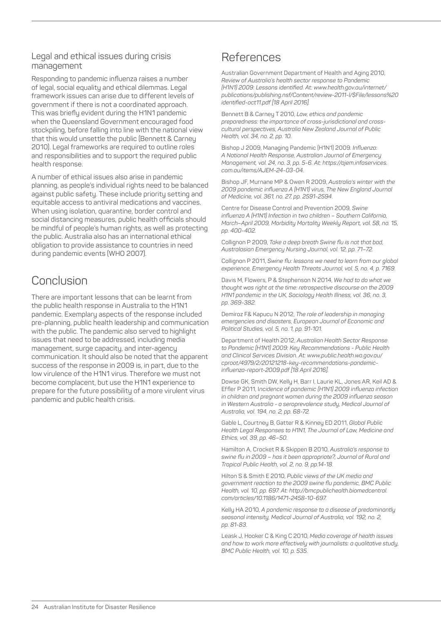#### Legal and ethical issues during crisis management

Responding to pandemic influenza raises a number of legal, social equality and ethical dilemmas. Legal framework issues can arise due to different levels of government if there is not a coordinated approach. This was briefly evident during the H1N1 pandemic when the Queensland Government encouraged food stockpiling, before falling into line with the national view that this would unsettle the public (Bennett & Carney 2010). Legal frameworks are required to outline roles and responsibilities and to support the required public health response.

A number of ethical issues also arise in pandemic planning, as people's individual rights need to be balanced against public safety. These include priority setting and equitable access to antiviral medications and vaccines. When using isolation, quarantine, border control and social distancing measures, public health officials should be mindful of people's human rights, as well as protecting the public. Australia also has an international ethical obligation to provide assistance to countries in need during pandemic events (WHO 2007).

## Conclusion

There are important lessons that can be learnt from the public health response in Australia to the H1N1 pandemic. Exemplary aspects of the response included pre-planning, public health leadership and communication with the public. The pandemic also served to highlight issues that need to be addressed, including media management, surge capacity, and inter-agency communication. It should also be noted that the apparent success of the response in 2009 is, in part, due to the low virulence of the H1N1 virus. Therefore we must not become complacent, but use the H1N1 experience to prepare for the future possibility of a more virulent virus pandemic and public health crisis.

## References

Australian Government Department of Health and Aging 2010, *Review of Australia's health sector response to Pandemic (H1N1) 2009: Lessons identified. At: [www.health.gov.au/internet/](http://www.health.gov.au/internet/publications/publishing.nsf/Content/review-2011-l/$File/lessons%20identif) [publications/publishing.nsf/Content/review-2011-l/\\$File/lessons%20](http://www.health.gov.au/internet/publications/publishing.nsf/Content/review-2011-l/$File/lessons%20identif) [identified-oct11.pdf](http://www.health.gov.au/internet/publications/publishing.nsf/Content/review-2011-l/$File/lessons%20identif) [18 April 2016].*

Bennett B & Carney T 2010, *Law, ethics and pandemic preparedness: the importance of cross-jurisdictional and crosscultural perspectives, Australia New Zealand Journal of Public Health, vol. 34, no. 2, pp. 10.*

Bishop J 2009, Managing Pandemic (H1N1) 2009. *Influenza: A National Health Response, Australian Journal of Emergency Management, vol. 24, no. 3, pp. 5-6. At: [https://ajem.infoservices.](https://ajem.infoservices.com.au/items/AJEM-24-03-04) [com.au/items/AJEM-24-03-04](https://ajem.infoservices.com.au/items/AJEM-24-03-04).*

Bishop JF, Murnane MP & Owen R 2009, *Australia's winter with the 2009 pandemic influenza A (H1N1) virus, The New England Journal of Medicine, vol. 361, no. 27, pp. 2591-2594.*

Centre for Disease Control and Prevention 2009, *Swine influenza A (H1N1) Infection in two children – Southern California, March–April 2009, Morbidity Mortality Weekly Report, vol. 58, no. 15, pp. 400-402.*

Collignon P 2009, *Take a deep breath Swine flu is not that bad, Australasian Emergency Nursing Journal, vol. 12, pp. 71–72.*

Collignon P 2011, *Swine flu: lessons we need to learn from our global experience, Emergency Health Threats Journal, vol. 5, no. 4, p. 7169.*

Davis M, Flowers, P & Stephenson N 2014, *We had to do what we thought was right at the time: retrospective discourse on the 2009 H1N1 pandemic in the UK, Sociology Health Illness, vol. 36, no. 3, pp. 369-382.*

Demiroz F& Kapucu N 2012, *The role of leadership in managing emergencies and disasters, European Journal of Economic and Political Studies, vol. 5, no. 1, pp. 91-101.*

Department of Health 2012, *Australian Health Sector Response to Pandemic (H1N1) 2009: Key Recommendations - Public Health and Clinical Services Division. At: [www.public.health.wa.gov.au/](http://www.public.health.wa.gov.au/cproot/4979/2/20121218-key-recommendations-pandemic-influenza-report-2009.pdf) [cproot/4979/2/20121218-key-recommendations-pandemic](http://www.public.health.wa.gov.au/cproot/4979/2/20121218-key-recommendations-pandemic-influenza-report-2009.pdf)[influenza-report-2009.pdf](http://www.public.health.wa.gov.au/cproot/4979/2/20121218-key-recommendations-pandemic-influenza-report-2009.pdf) [18 April 2016].*

Dowse GK, Smith DW, Kelly H, Barr I, Laurie KL, Jones AR, Keil AD & Effler P 2011, I*ncidence of pandemic (H1N1) 2009 influenza infection in children and pregnant women during the 2009 influenza season in Western Australia - a seroprevalence study, Medical Journal of Australia, vol. 194, no. 2, pp. 68-72.*

Gable L, Courtney B, Gatter R & Kinney ED 2011, *Global Public Health Legal Responses to H1N1, The Journal of Law, Medicine and Ethics, vol. 39, pp. 46–50.*

Hamilton A, Crocket R & Skippen B 2010, *Australia's response to swine flu in 2009 – has it been appropriate?, Journal of Rural and Tropical Public Health, vol. 2, no. 9, pp.14-18.*

Hilton S & Smith E 2010, *Public views of the UK media and government reaction to the 2009 swine flu pandemic, BMC Public Health, vol. 10, pp. 697. At: [http://bmcpublichealth.biomedcentral.](http://bmcpublichealth.biomedcentral.com/articles/10.1186/1471-2458-10-697) [com/articles/10.1186/1471-2458-10-697.](http://bmcpublichealth.biomedcentral.com/articles/10.1186/1471-2458-10-697)*

Kelly HA 2010, *A pandemic response to a disease of predominantly seasonal intensity, Medical Journal of Australia, vol. 192, no. 2, pp. 81-83.*

Leask J, Hooker C & King C 2010, *Media coverage of health issues and how to work more effectively with journalists: a qualitative study, BMC Public Health, vol. 10, p. 535.*